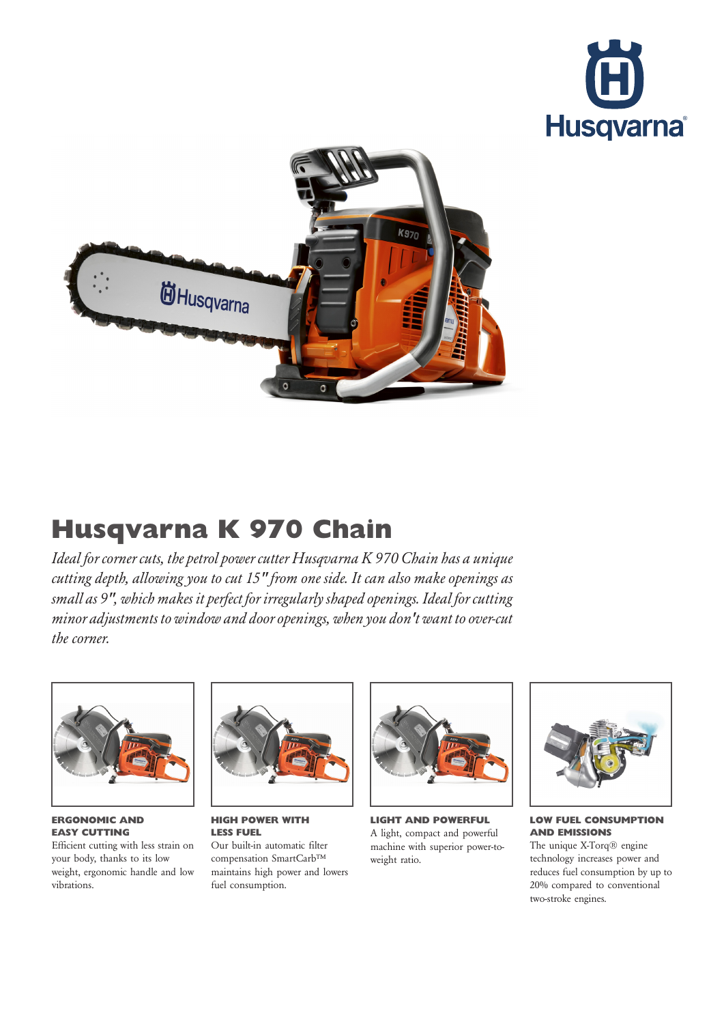



## Husqvarna K 970 Chain

Ideal for corner cuts, the petrol power cutter Husqvarna K 970 Chain has a unique cutting depth, allowing you to cut 15" from one side. It can also make openings as small as 9", which makes it perfect for irregularly shaped openings. Ideal for cutting minor adjustments to window and door openings, when you don't want to over-cut the corner.



ERGONOMIC AND EASY CUTTING

Efficient cutting with less strain on your body, thanks to its low weight, ergonomic handle and low vibrations.



HIGH POWER WITH LESS FUEL Our built-in automatic filter compensation SmartCarb™ maintains high power and lowers fuel consumption.



LIGHT AND POWERFUL A light, compact and powerful machine with superior power-toweight ratio.



LOW FUEL CONSUMPTION AND EMISSIONS

The unique X-Torq® engine technology increases power and reduces fuel consumption by up to 20% compared to conventional two-stroke engines.